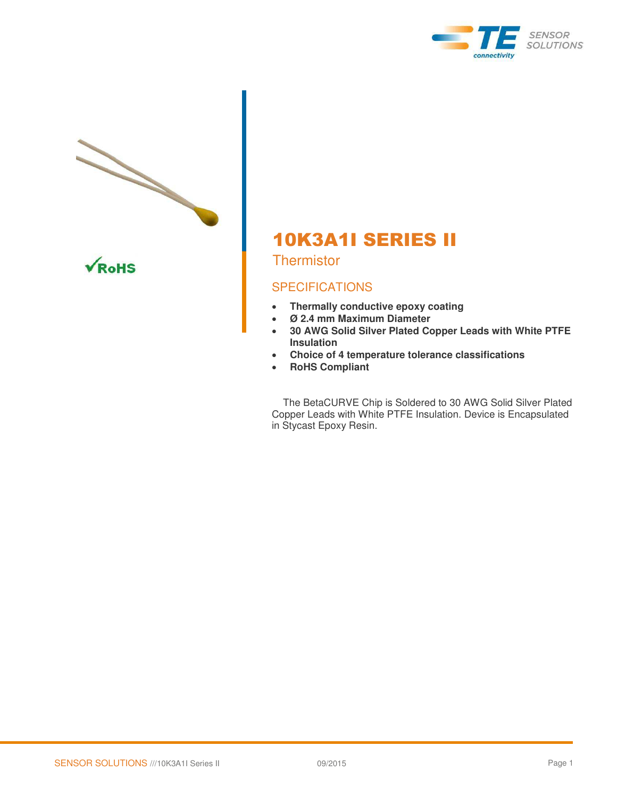



# 10K3A1I SERIES II

**Thermistor** 

## **SPECIFICATIONS**

- **Thermally conductive epoxy coating**
- **Ø 2.4 mm Maximum Diameter**
- **30 AWG Solid Silver Plated Copper Leads with White PTFE Insulation**
- **Choice of 4 temperature tolerance classifications**
- **RoHS Compliant**

 The BetaCURVE Chip is Soldered to 30 AWG Solid Silver Plated Copper Leads with White PTFE Insulation. Device is Encapsulated in Stycast Epoxy Resin.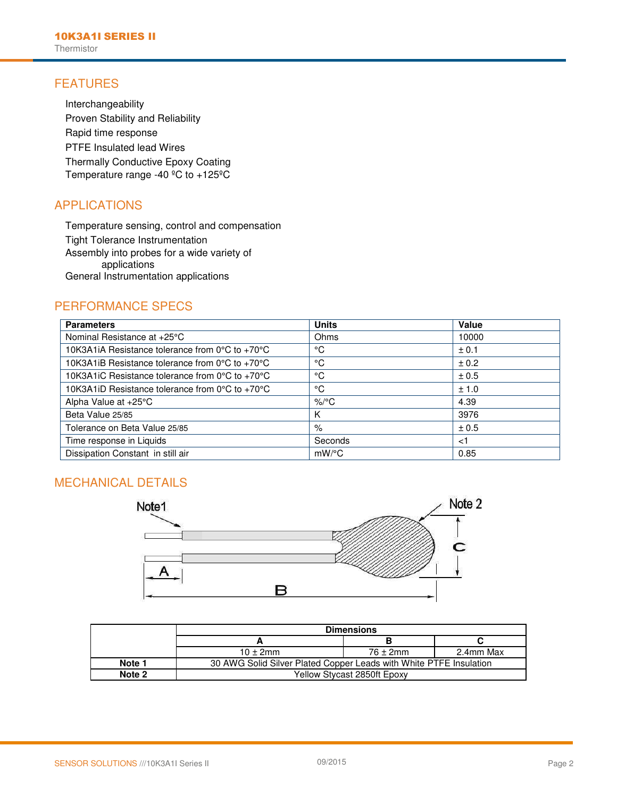## FEATURES

Interchangeability Proven Stability and Reliability Rapid time response PTFE Insulated lead Wires Thermally Conductive Epoxy Coating Temperature range -40 ºC to +125ºC

## APPLICATIONS

Temperature sensing, control and compensation Tight Tolerance Instrumentation Assembly into probes for a wide variety of applications General Instrumentation applications

## PERFORMANCE SPECS

| <b>Parameters</b>                                                    | <b>Units</b> | Value |
|----------------------------------------------------------------------|--------------|-------|
| Nominal Resistance at +25°C                                          | Ohms         | 10000 |
| 10K3A1iA Resistance tolerance from 0°C to +70°C                      | °C           | ± 0.1 |
| 10K3A1iB Resistance tolerance from $0^{\circ}$ C to +70 $^{\circ}$ C | °C           | ± 0.2 |
| 10K3A1iC Resistance tolerance from $0^{\circ}$ C to +70 $^{\circ}$ C | °C           | ± 0.5 |
| 10K3A1iD Resistance tolerance from $0^{\circ}$ C to +70 $^{\circ}$ C | °C           | ± 1.0 |
| Alpha Value at +25°C                                                 | $\%$ /°C     | 4.39  |
| Beta Value 25/85                                                     | Κ            | 3976  |
| Tolerance on Beta Value 25/85                                        | $\%$         | ± 0.5 |
| Time response in Liquids                                             | Seconds      | < 1   |
| Dissipation Constant in still air                                    | $mW$ /°C     | 0.85  |

### MECHANICAL DETAILS



|        | <b>Dimensions</b>                                                  |                      |           |  |  |
|--------|--------------------------------------------------------------------|----------------------|-----------|--|--|
|        |                                                                    |                      |           |  |  |
|        | $10 \pm 2$ mm                                                      | $76 \pm 2 \text{mm}$ | 2.4mm Max |  |  |
| Note 1 | 30 AWG Solid Silver Plated Copper Leads with White PTFE Insulation |                      |           |  |  |
| Note 2 | Yellow Stycast 2850ft Epoxy                                        |                      |           |  |  |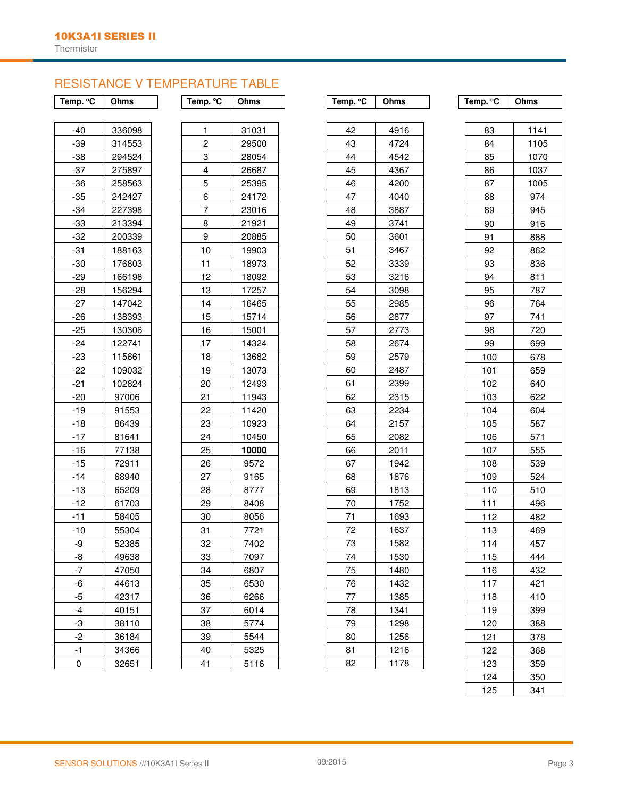## RESISTANCE V TEMPERATURE TABLE

|  | °€<br>Temp. | Ohm: |
|--|-------------|------|
|--|-------------|------|

| -40            | 336098 |
|----------------|--------|
| -39            | 314553 |
| -38            | 294524 |
| $-37$          | 275897 |
| -36            | 258563 |
| -35            | 242427 |
| -34            | 227398 |
| -33            | 213394 |
| -32            | 200339 |
| -31            | 188163 |
| -30            | 176803 |
| -29            | 166198 |
| -28            | 156294 |
| -27            | 147042 |
| -26            | 138393 |
| -25            | 130306 |
| $-24$          | 122741 |
| -23            | 115661 |
| -22            | 109032 |
| -21            | 102824 |
| -20            | 97006  |
| -19            | 91553  |
| -18            | 86439  |
| -17            | 81641  |
| $-16$          | 77138  |
| -15            | 72911  |
| -14            | 68940  |
| -13            | 65209  |
| $-12$          | 61703  |
| -11            | 58405  |
| $-10$          | 55304  |
| -9             | 52385  |
| -8             | 49638  |
| 7              | 47050  |
| -6             | 44613  |
| $\overline{5}$ | 42317  |
| $-4$           | 40151  |
| 3              | 38110  |
| $\overline{c}$ | 36184  |
| $-1$           | 34366  |
| 0              | 32651  |

| 1  | 31031 |
|----|-------|
| 2  | 29500 |
| 3  | 28054 |
| 4  | 26687 |
| 5  | 25395 |
| 6  | 24172 |
| 7  | 23016 |
| 8  | 21921 |
| 9  | 20885 |
| 10 | 19903 |
| 11 | 18973 |
| 12 | 18092 |
| 13 | 17257 |
| 14 | 16465 |
| 15 | 15714 |
| 16 | 15001 |
| 17 | 14324 |
| 18 | 13682 |
| 19 | 13073 |
| 20 | 12493 |
| 21 | 11943 |
| 22 | 11420 |
| 23 | 10923 |
| 24 | 10450 |
| 25 | 10000 |
| 26 | 9572  |
| 27 | 9165  |
| 28 | 8777  |
| 29 | 8408  |
| 30 | 8056  |
| 31 | 7721  |
| 32 | 7402  |
| 33 | 7097  |
| 34 | 6807  |
| 35 | 6530  |
| 36 | 6266  |
| 37 | 6014  |
| 38 | 5774  |
| 39 | 5544  |
| 40 | 5325  |
| 41 | 5116  |

| IS        | Temp. °C       | Ohms  | Temp. °C | Ohms | Temp. °C | Ohms            |
|-----------|----------------|-------|----------|------|----------|-----------------|
|           |                |       |          |      |          |                 |
| 098       | 1              | 31031 | 42       | 4916 | 83       | 11 <sup>2</sup> |
| 553       | $\overline{c}$ | 29500 | 43       | 4724 | 84       | 110             |
| 524       | 3              | 28054 | 44       | 4542 | 85       | 107             |
| 897       | 4              | 26687 | 45       | 4367 | 86       | 103             |
| 563       | 5              | 25395 | 46       | 4200 | 87       | 100             |
| 427       | 6              | 24172 | 47       | 4040 | 88       | 97              |
| 398       | 7              | 23016 | 48       | 3887 | 89       | 94              |
| 394       | 8              | 21921 | 49       | 3741 | 90       | 91              |
| 339       | 9              | 20885 | 50       | 3601 | 91       | 88              |
| 163       | 10             | 19903 | 51       | 3467 | 92       | 86              |
| 803       | 11             | 18973 | 52       | 3339 | 93       | 83              |
| 198       | 12             | 18092 | 53       | 3216 | 94       | 81              |
| 294       | 13             | 17257 | 54       | 3098 | 95       | 78              |
| 042       | 14             | 16465 | 55       | 2985 | 96       | 76              |
| 393       | 15             | 15714 | 56       | 2877 | 97       | 74              |
| 306       | 16             | 15001 | 57       | 2773 | 98       | 72              |
| 741       | 17             | 14324 | 58       | 2674 | 99       | 69              |
| 661       | 18             | 13682 | 59       | 2579 | 100      | 67              |
| 032       | 19             | 13073 | 60       | 2487 | 101      | 65              |
| 824       | 20             | 12493 | 61       | 2399 | 102      | 64              |
| 06        | 21             | 11943 | 62       | 2315 | 103      | 62              |
| 53        | 22             | 11420 | 63       | 2234 | 104      | 60              |
| 139       | 23             | 10923 | 64       | 2157 | 105      | 58              |
| 341       | 24             | 10450 | 65       | 2082 | 106      | 57              |
| 38        | 25             | 10000 | 66       | 2011 | 107      | 55              |
| 11        | 26             | 9572  | 67       | 1942 | 108      | 53              |
| 40        | 27             | 9165  | 68       | 1876 | 109      | 52              |
| 209       | 28             | 8777  | 69       | 1813 | 110      | 51              |
| 703       | 29             | 8408  | 70       | 1752 | 111      | 49              |
| I05       | 30             | 8056  | 71       | 1693 | 112      | 48              |
| 804       | 31             | 7721  | 72       | 1637 | 113      | 46              |
| 85        | 32             | 7402  | 73       | 1582 | 114      | 45              |
| 38        | 33             | 7097  | 74       | 1530 | 115      | 44              |
| 150       | 34             | 6807  | 75       | 1480 | 116      | 43              |
| 313       | 35             | 6530  | 76       | 1432 | 117      | 42              |
| 317       | 36             | 6266  | 77       | 1385 | 118      | 41              |
| 51        | 37             | 6014  | 78       | 1341 | 119      | 39              |
| 10        | 38             | 5774  | 79       | 1298 | 120      | 38              |
| <u>84</u> | 39             | 5544  | 80       | 1256 | 121      | 37              |
| 866       | 40             | 5325  | 81       | 1216 | 122      | 36              |
| 51        | 41             | 5116  | 82       | 1178 | 123      | 35              |
|           |                |       |          |      | 101      | OF              |

| 83  | 1141 |
|-----|------|
| 84  | 1105 |
| 85  | 1070 |
| 86  | 1037 |
| 87  | 1005 |
| 88  | 974  |
| 89  | 945  |
| 90  | 916  |
| 91  | 888  |
| 92  | 862  |
| 93  | 836  |
| 94  | 811  |
| 95  | 787  |
| 96  | 764  |
| 97  | 741  |
| 98  | 720  |
| 99  | 699  |
| 100 | 678  |
| 101 | 659  |
| 102 | 640  |
| 103 | 622  |
| 104 | 604  |
| 105 | 587  |
| 106 | 571  |
| 107 | 555  |
| 108 | 539  |
| 109 | 524  |
| 110 | 510  |
| 111 | 496  |
| 112 | 482  |
| 113 | 469  |
| 114 | 457  |
| 115 | 444  |
| 116 | 432  |
| 117 | 421  |
| 118 | 410  |
| 119 | 399  |
| 120 | 388  |
| 121 | 378  |
| 122 | 368  |
| 123 | 359  |
| 124 | 350  |
| 125 | 341  |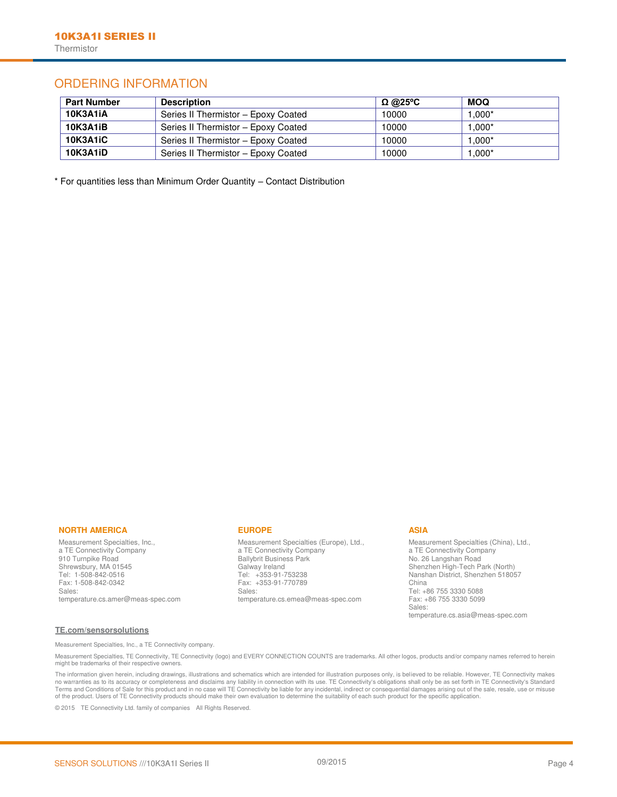## ORDERING INFORMATION

| <b>Part Number</b> | <b>Description</b>                  | <u>Ω @25</u> °C | <b>MOQ</b> |
|--------------------|-------------------------------------|-----------------|------------|
| 10K3A1iA           | Series II Thermistor - Epoxy Coated | 10000           | $.000*$    |
| <b>10K3A1iB</b>    | Series II Thermistor - Epoxy Coated | 10000           | $.000*$    |
| <b>10K3A1iC</b>    | Series II Thermistor - Epoxy Coated | 10000           | $.000*$    |
| <b>10K3A1iD</b>    | Series II Thermistor - Epoxy Coated | 10000           | $000*$     |

\* For quantities less than Minimum Order Quantity – Contact Distribution

### **NORTH AMERICA**

Measurement Specialties, Inc., a TE Connectivity Company 910 Turnpike Road Shrewsbury, MA 01545 Tel: 1-508-842-0516 Fax: 1-508-842-0342 Sales: [temperature.cs.amer@meas-spec.com](http://www.meas-spec.com/product/%09%09%09%09%09%09%09mailto:temperature.cs.amer@meas-spec.com) 

### **EUROPE**

Measurement Specialties (Europe), Ltd., a TE Connectivity Company Ballybrit Business Park Galway Ireland Tel: +353-91-753238 Fax: +353-91-770789 Sales: [temperature.cs.emea@meas-spec.com](http://www.meas-spec.com/product/%09%09%09%09%09%09%09mailto:temperature.cs.emea@meas-spec.com) 

### **ASIA**

Measurement Specialties (China), Ltd., a TE Connectivity Company No. 26 Langshan Road Shenzhen High-Tech Park (North) Nanshan District, Shenzhen 518057 China Tel: +86 755 3330 5088 Fax: +86 755 3330 5099 Sales: [temperature.cs.asia@meas-spec.com](http://www.meas-spec.com/product/%09%09%09%09%09%09%09mailto:temperature.cs.asia@meas-spec.com) 

### **[TE.com/sensorsolutions](http://www.te.com/sensorsolutions)**

Measurement Specialties, Inc., a TE Connectivity company.

Measurement Specialties, TE Connectivity, TE Connectivity (logo) and EVERY CONNECTION COUNTS are trademarks. All other logos, products and/or company names referred to herein might be trademarks of their respective owners.

The information given herein, including drawings, illustrations and schematics which are intended for illustration purposes only, is believed to be reliable. However, TE Connectivity makes no warranties as to its accuracy or completeness and disclaims any liability in connection with its use. TE Connectivity's obligations shall only be as set forth in TE Connectivity's Standard<br>Terms and Conditions of Sale f

© 2015 TE Connectivity Ltd. family of companies All Rights Reserved.